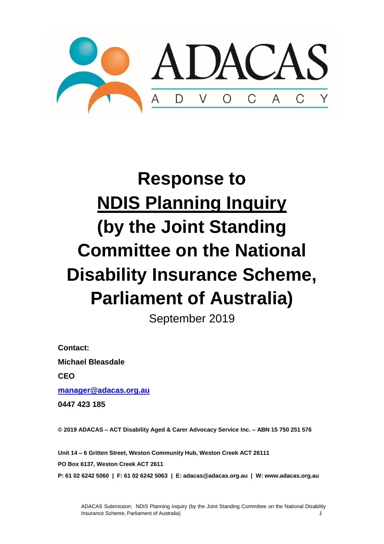

# **Response to NDIS Planning Inquiry (by the Joint Standing Committee on the National Disability Insurance Scheme, Parliament of Australia)**

September 2019

**Contact: Michael Bleasdale CEO [manager@adacas.org.au](mailto:manager@adacas.org.au) 0447 423 185**

**© 2019 ADACAS – ACT Disability Aged & Carer Advocacy Service Inc. – ABN 15 750 251 576**

**Unit 14 – 6 Gritten Street, Weston Community Hub, Weston Creek ACT 26111 PO Box 6137, Weston Creek ACT 2611 P: 61 02 6242 5060 | F: 61 02 6242 5063 | E: adacas@adacas.org.au | W: www.adacas.org.au**

ADACAS Submission: NDIS Planning Inquiry (by the Joint Standing Committee on the National Disability Insurance Scheme, Parliament of Australia) *1*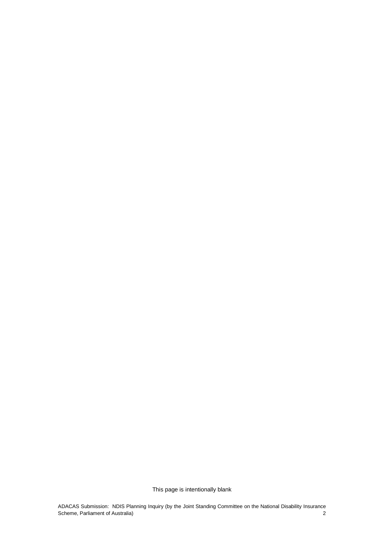This page is intentionally blank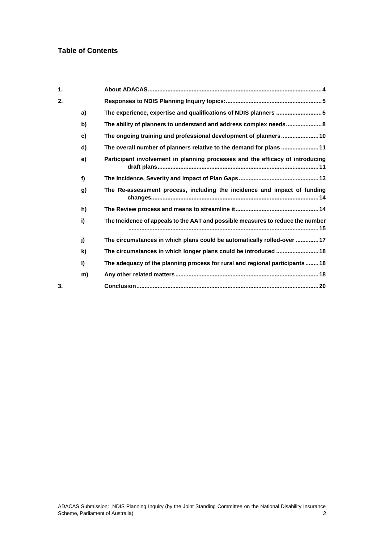#### **Table of Contents**

| 1. |    |                                                                                |
|----|----|--------------------------------------------------------------------------------|
| 2. |    |                                                                                |
|    | a) | The experience, expertise and qualifications of NDIS planners 5                |
|    | b) | The ability of planners to understand and address complex needs 8              |
|    | c) | The ongoing training and professional development of planners 10               |
|    | d) | The overall number of planners relative to the demand for plans 11             |
|    | e) | Participant involvement in planning processes and the efficacy of introducing  |
|    | f) |                                                                                |
|    | g) | The Re-assessment process, including the incidence and impact of funding       |
|    | h) |                                                                                |
|    | i) | The Incidence of appeals to the AAT and possible measures to reduce the number |
|    | j) | The circumstances in which plans could be automatically rolled-over 17         |
|    | k) | The circumstances in which longer plans could be introduced  18                |
|    | I) | The adequacy of the planning process for rural and regional participants18     |
|    | m) |                                                                                |
| 3. |    |                                                                                |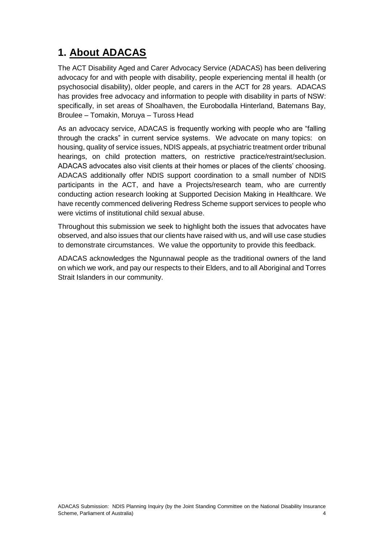# <span id="page-3-0"></span>**1. About ADACAS**

The ACT Disability Aged and Carer Advocacy Service (ADACAS) has been delivering advocacy for and with people with disability, people experiencing mental ill health (or psychosocial disability), older people, and carers in the ACT for 28 years. ADACAS has provides free advocacy and information to people with disability in parts of NSW: specifically, in set areas of Shoalhaven, the Eurobodalla Hinterland, Batemans Bay, Broulee – Tomakin, Moruya – Tuross Head

As an advocacy service, ADACAS is frequently working with people who are "falling through the cracks" in current service systems. We advocate on many topics: on housing, quality of service issues, NDIS appeals, at psychiatric treatment order tribunal hearings, on child protection matters, on restrictive practice/restraint/seclusion. ADACAS advocates also visit clients at their homes or places of the clients' choosing. ADACAS additionally offer NDIS support coordination to a small number of NDIS participants in the ACT, and have a Projects/research team, who are currently conducting action research looking at Supported Decision Making in Healthcare. We have recently commenced delivering Redress Scheme support services to people who were victims of institutional child sexual abuse.

Throughout this submission we seek to highlight both the issues that advocates have observed, and also issues that our clients have raised with us, and will use case studies to demonstrate circumstances. We value the opportunity to provide this feedback.

<span id="page-3-1"></span>ADACAS acknowledges the Ngunnawal people as the traditional owners of the land on which we work, and pay our respects to their Elders, and to all Aboriginal and Torres Strait Islanders in our community.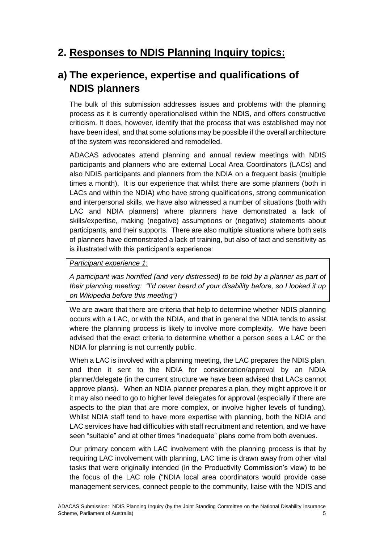### **2. Responses to NDIS Planning Inquiry topics:**

### <span id="page-4-0"></span>**a) The experience, expertise and qualifications of NDIS planners**

The bulk of this submission addresses issues and problems with the planning process as it is currently operationalised within the NDIS, and offers constructive criticism. It does, however, identify that the process that was established may not have been ideal, and that some solutions may be possible if the overall architecture of the system was reconsidered and remodelled.

ADACAS advocates attend planning and annual review meetings with NDIS participants and planners who are external Local Area Coordinators (LACs) and also NDIS participants and planners from the NDIA on a frequent basis (multiple times a month). It is our experience that whilst there are some planners (both in LACs and within the NDIA) who have strong qualifications, strong communication and interpersonal skills, we have also witnessed a number of situations (both with LAC and NDIA planners) where planners have demonstrated a lack of skills/expertise, making (negative) assumptions or (negative) statements about participants, and their supports. There are also multiple situations where both sets of planners have demonstrated a lack of training, but also of tact and sensitivity as is illustrated with this participant's experience:

#### *Participant experience 1:*

*A participant was horrified (and very distressed) to be told by a planner as part of their planning meeting: "I'd never heard of your disability before, so I looked it up on Wikipedia before this meeting")* 

We are aware that there are criteria that help to determine whether NDIS planning occurs with a LAC, or with the NDIA, and that in general the NDIA tends to assist where the planning process is likely to involve more complexity. We have been advised that the exact criteria to determine whether a person sees a LAC or the NDIA for planning is not currently public.

When a LAC is involved with a planning meeting, the LAC prepares the NDIS plan, and then it sent to the NDIA for consideration/approval by an NDIA planner/delegate (in the current structure we have been advised that LACs cannot approve plans). When an NDIA planner prepares a plan, they might approve it or it may also need to go to higher level delegates for approval (especially if there are aspects to the plan that are more complex, or involve higher levels of funding). Whilst NDIA staff tend to have more expertise with planning, both the NDIA and LAC services have had difficulties with staff recruitment and retention, and we have seen "suitable" and at other times "inadequate" plans come from both avenues.

Our primary concern with LAC involvement with the planning process is that by requiring LAC involvement with planning, LAC time is drawn away from other vital tasks that were originally intended (in the Productivity Commission's view) to be the focus of the LAC role ("NDIA local area coordinators would provide case management services, connect people to the community, liaise with the NDIS and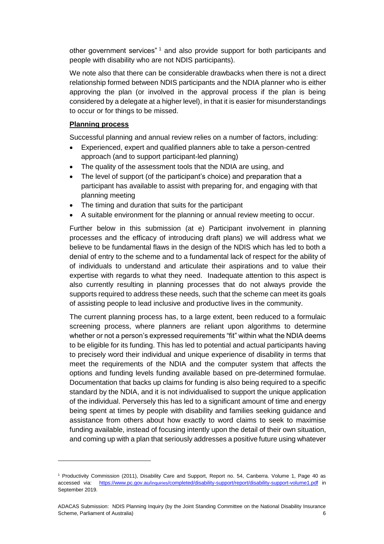other government services"<sup>1</sup> and also provide support for both participants and people with disability who are not NDIS participants).

We note also that there can be considerable drawbacks when there is not a direct relationship formed between NDIS participants and the NDIA planner who is either approving the plan (or involved in the approval process if the plan is being considered by a delegate at a higher level), in that it is easier for misunderstandings to occur or for things to be missed.

#### **Planning process**

 $\overline{a}$ 

Successful planning and annual review relies on a number of factors, including:

- Experienced, expert and qualified planners able to take a person-centred approach (and to support participant-led planning)
- The quality of the assessment tools that the NDIA are using, and
- The level of support (of the participant's choice) and preparation that a participant has available to assist with preparing for, and engaging with that planning meeting
- The timing and duration that suits for the participant
- A suitable environment for the planning or annual review meeting to occur.

Further below in this submission (at e) Participant involvement in planning processes and the efficacy of introducing draft plans) we will address what we believe to be fundamental flaws in the design of the NDIS which has led to both a denial of entry to the scheme and to a fundamental lack of respect for the ability of of individuals to understand and articulate their aspirations and to value their expertise with regards to what they need. Inadequate attention to this aspect is also currently resulting in planning processes that do not always provide the supports required to address these needs, such that the scheme can meet its goals of assisting people to lead inclusive and productive lives in the community.

The current planning process has, to a large extent, been reduced to a formulaic screening process, where planners are reliant upon algorithms to determine whether or not a person's expressed requirements "fit" within what the NDIA deems to be eligible for its funding. This has led to potential and actual participants having to precisely word their individual and unique experience of disability in terms that meet the requirements of the NDIA and the computer system that affects the options and funding levels funding available based on pre-determined formulae. Documentation that backs up claims for funding is also being required to a specific standard by the NDIA, and it is not individualised to support the unique application of the individual. Perversely this has led to a significant amount of time and energy being spent at times by people with disability and families seeking guidance and assistance from others about how exactly to word claims to seek to maximise funding available, instead of focusing intently upon the detail of their own situation, and coming up with a plan that seriously addresses a positive future using whatever

<sup>1</sup> Productivity Commission (2011), Disability Care and Support, Report no. 54, Canberra. Volume 1, Page 40 as accessed via: https://www.pc.gov.au/inquiries[/completed/disability-support/report/disability-support-volume1.pdf](https://www.pc.gov.au/inquiries/completed/disability-support/report/disability-support-volume1.pdf) in September 2019.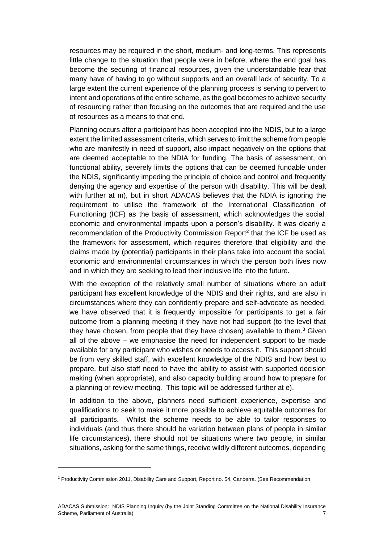resources may be required in the short, medium- and long-terms. This represents little change to the situation that people were in before, where the end goal has become the securing of financial resources, given the understandable fear that many have of having to go without supports and an overall lack of security. To a large extent the current experience of the planning process is serving to pervert to intent and operations of the entire scheme, as the goal becomes to achieve security of resourcing rather than focusing on the outcomes that are required and the use of resources as a means to that end.

Planning occurs after a participant has been accepted into the NDIS, but to a large extent the limited assessment criteria, which serves to limit the scheme from people who are manifestly in need of support, also impact negatively on the options that are deemed acceptable to the NDIA for funding. The basis of assessment, on functional ability, severely limits the options that can be deemed fundable under the NDIS, significantly impeding the principle of choice and control and frequently denying the agency and expertise of the person with disability. This will be dealt with further at m), but in short ADACAS believes that the NDIA is ignoring the requirement to utilise the framework of the International Classification of Functioning (ICF) as the basis of assessment, which acknowledges the social, economic and environmental impacts upon a person's disability. It was clearly a recommendation of the Productivity Commission Report<sup>2</sup> that the ICF be used as the framework for assessment, which requires therefore that eligibility and the claims made by (potential) participants in their plans take into account the social, economic and environmental circumstances in which the person both lives now and in which they are seeking to lead their inclusive life into the future.

With the exception of the relatively small number of situations where an adult participant has excellent knowledge of the NDIS and their rights, and are also in circumstances where they can confidently prepare and self-advocate as needed, we have observed that it is frequently impossible for participants to get a fair outcome from a planning meeting if they have not had support (to the level that they have chosen, from people that they have chosen) available to them. $3$  Given all of the above – we emphasise the need for independent support to be made available for any participant who wishes or needs to access it. This support should be from very skilled staff, with excellent knowledge of the NDIS and how best to prepare, but also staff need to have the ability to assist with supported decision making (when appropriate), and also capacity building around how to prepare for a planning or review meeting. This topic will be addressed further at e).

In addition to the above, planners need sufficient experience, expertise and qualifications to seek to make it more possible to achieve equitable outcomes for all participants. Whilst the scheme needs to be able to tailor responses to individuals (and thus there should be variation between plans of people in similar life circumstances), there should not be situations where two people, in similar situations, asking for the same things, receive wildly different outcomes, depending

<sup>&</sup>lt;sup>2</sup> Productivity Commission 2011, Disability Care and Support, Report no. 54, Canberra. (See Recommendation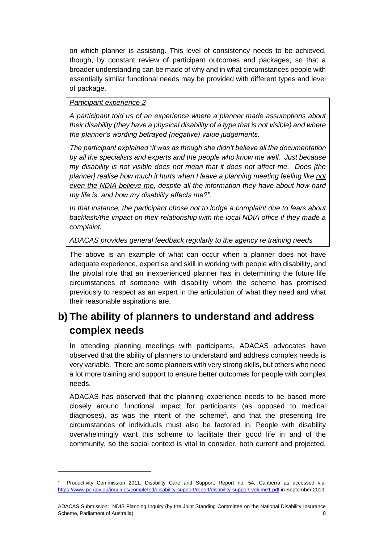on which planner is assisting. This level of consistency needs to be achieved, though, by constant review of participant outcomes and packages, so that a broader understanding can be made of why and in what circumstances people with essentially similar functional needs may be provided with different types and level of package.

#### *Participant experience 2*

*A participant told us of an experience where a planner made assumptions about their disability (they have a physical disability of a type that is not visible) and where the planner's wording betrayed (negative) value judgements.* 

*The participant explained "it was as though she didn't believe all the documentation by all the specialists and experts and the people who know me well. Just because my disability is not visible does not mean that it does not affect me. Does [the planner] realise how much it hurts when I leave a planning meeting feeling like not even the NDIA believe me, despite all the information they have about how hard my life is, and how my disability affects me?".* 

*In that instance, the participant chose not to lodge a complaint due to fears about backlash/the impact on their relationship with the local NDIA office if they made a complaint.* 

*ADACAS provides general feedback regularly to the agency re training needs.* 

The above is an example of what can occur when a planner does not have adequate experience, expertise and skill in working with people with disability, and the pivotal role that an inexperienced planner has in determining the future life circumstances of someone with disability whom the scheme has promised previously to respect as an expert in the articulation of what they need and what their reasonable aspirations are.

### <span id="page-7-0"></span>**b) The ability of planners to understand and address complex needs**

In attending planning meetings with participants, ADACAS advocates have observed that the ability of planners to understand and address complex needs is very variable. There are some planners with very strong skills, but others who need a lot more training and support to ensure better outcomes for people with complex needs.

ADACAS has observed that the planning experience needs to be based more closely around functional impact for participants (as opposed to medical diagnoses), as was the intent of the scheme<sup>4</sup>, and that the presenting life circumstances of individuals must also be factored in. People with disability overwhelmingly want this scheme to facilitate their good life in and of the community, so the social context is vital to consider, both current and projected,

Productivity Commission 2011, Disability Care and Support, Report no. 54, Canberra as accessed via: <https://www.pc.gov.au/inquiries/completed/disability-support/report/disability-support-volume1.pdf> in September 2019.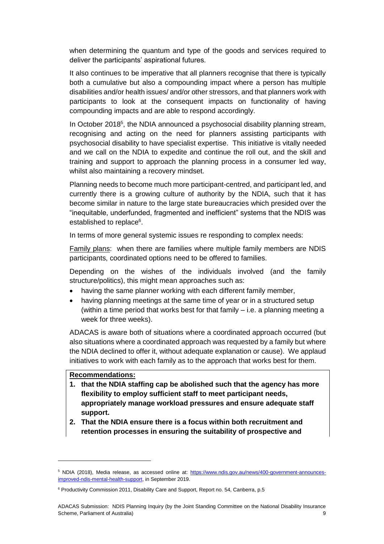when determining the quantum and type of the goods and services required to deliver the participants' aspirational futures.

It also continues to be imperative that all planners recognise that there is typically both a cumulative but also a compounding impact where a person has multiple disabilities and/or health issues/ and/or other stressors, and that planners work with participants to look at the consequent impacts on functionality of having compounding impacts and are able to respond accordingly.

In October 2018<sup>5</sup>, the NDIA announced a psychosocial disability planning stream, recognising and acting on the need for planners assisting participants with psychosocial disability to have specialist expertise. This initiative is vitally needed and we call on the NDIA to expedite and continue the roll out, and the skill and training and support to approach the planning process in a consumer led way, whilst also maintaining a recovery mindset.

Planning needs to become much more participant-centred, and participant led, and currently there is a growing culture of authority by the NDIA, such that it has become similar in nature to the large state bureaucracies which presided over the "inequitable, underfunded, fragmented and inefficient" systems that the NDIS was established to replace<sup>6</sup>.

In terms of more general systemic issues re responding to complex needs:

Family plans: when there are families where multiple family members are NDIS participants, coordinated options need to be offered to families.

Depending on the wishes of the individuals involved (and the family structure/politics), this might mean approaches such as:

- having the same planner working with each different family member,
- having planning meetings at the same time of year or in a structured setup (within a time period that works best for that family – i.e. a planning meeting a week for three weeks).

ADACAS is aware both of situations where a coordinated approach occurred (but also situations where a coordinated approach was requested by a family but where the NDIA declined to offer it, without adequate explanation or cause). We applaud initiatives to work with each family as to the approach that works best for them.

#### **Recommendations:**

 $\overline{a}$ 

- **1. that the NDIA staffing cap be abolished such that the agency has more flexibility to employ sufficient staff to meet participant needs, appropriately manage workload pressures and ensure adequate staff support.**
- **2. That the NDIA ensure there is a focus within both recruitment and retention processes in ensuring the suitability of prospective and**

<sup>&</sup>lt;sup>5</sup> NDIA (2018), Media release, as accessed online at: [https://www.ndis.gov.au/news/400-government-announces](https://www.ndis.gov.au/news/400-government-announces-improved-ndis-mental-health-support)[improved-ndis-mental-health-support,](https://www.ndis.gov.au/news/400-government-announces-improved-ndis-mental-health-support) in September 2019.

<sup>&</sup>lt;sup>6</sup> Productivity Commission 2011, Disability Care and Support, Report no. 54, Canberra, p.5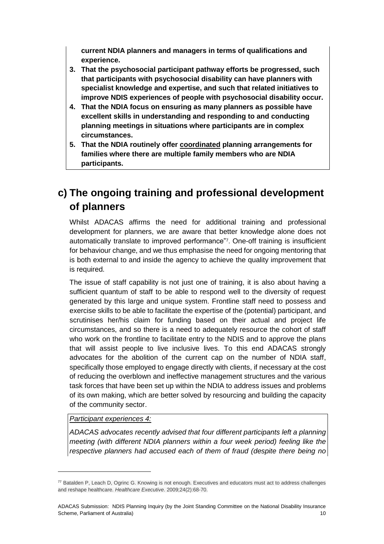**current NDIA planners and managers in terms of qualifications and experience.** 

- **3. That the psychosocial participant pathway efforts be progressed, such that participants with psychosocial disability can have planners with specialist knowledge and expertise, and such that related initiatives to improve NDIS experiences of people with psychosocial disability occur.**
- **4. That the NDIA focus on ensuring as many planners as possible have excellent skills in understanding and responding to and conducting planning meetings in situations where participants are in complex circumstances.**
- **5. That the NDIA routinely offer coordinated planning arrangements for families where there are multiple family members who are NDIA participants.**

# <span id="page-9-0"></span>**c) The ongoing training and professional development of planners**

Whilst ADACAS affirms the need for additional training and professional development for planners, we are aware that better knowledge alone does not automatically translate to improved performance"<sup>7</sup> . One-off training is insufficient for behaviour change, and we thus emphasise the need for ongoing mentoring that is both external to and inside the agency to achieve the quality improvement that is required.

The issue of staff capability is not just one of training, it is also about having a sufficient quantum of staff to be able to respond well to the diversity of request generated by this large and unique system. Frontline staff need to possess and exercise skills to be able to facilitate the expertise of the (potential) participant, and scrutinises her/his claim for funding based on their actual and project life circumstances, and so there is a need to adequately resource the cohort of staff who work on the frontline to facilitate entry to the NDIS and to approve the plans that will assist people to live inclusive lives. To this end ADACAS strongly advocates for the abolition of the current cap on the number of NDIA staff, specifically those employed to engage directly with clients, if necessary at the cost of reducing the overblown and ineffective management structures and the various task forces that have been set up within the NDIA to address issues and problems of its own making, which are better solved by resourcing and building the capacity of the community sector.

#### *Participant experiences 4:*

*ADACAS advocates recently advised that four different participants left a planning meeting (with different NDIA planners within a four week period) feeling like the respective planners had accused each of them of fraud (despite there being no* 

<sup>77</sup> Batalden P, Leach D, Ogrinc G. Knowing is not enough. Executives and educators must act to address challenges and reshape healthcare. *Healthcare Executive*. 2009;24(2):68-70.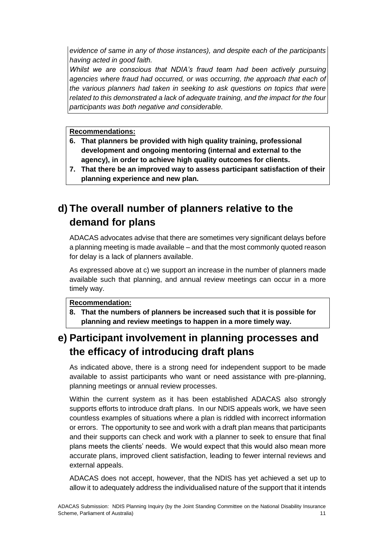*evidence of same in any of those instances), and despite each of the participants having acted in good faith.* 

*Whilst we are conscious that NDIA's fraud team had been actively pursuing agencies where fraud had occurred, or was occurring, the approach that each of the various planners had taken in seeking to ask questions on topics that were related to this demonstrated a lack of adequate training, and the impact for the four participants was both negative and considerable.* 

#### **Recommendations:**

- **6. That planners be provided with high quality training, professional development and ongoing mentoring (internal and external to the agency), in order to achieve high quality outcomes for clients.**
- **7. That there be an improved way to assess participant satisfaction of their planning experience and new plan.**

# <span id="page-10-0"></span>**d) The overall number of planners relative to the demand for plans**

ADACAS advocates advise that there are sometimes very significant delays before a planning meeting is made available – and that the most commonly quoted reason for delay is a lack of planners available.

As expressed above at c) we support an increase in the number of planners made available such that planning, and annual review meetings can occur in a more timely way.

#### **Recommendation:**

**8. That the numbers of planners be increased such that it is possible for planning and review meetings to happen in a more timely way.** 

### <span id="page-10-1"></span>**e) Participant involvement in planning processes and the efficacy of introducing draft plans**

As indicated above, there is a strong need for independent support to be made available to assist participants who want or need assistance with pre-planning, planning meetings or annual review processes.

Within the current system as it has been established ADACAS also strongly supports efforts to introduce draft plans. In our NDIS appeals work, we have seen countless examples of situations where a plan is riddled with incorrect information or errors. The opportunity to see and work with a draft plan means that participants and their supports can check and work with a planner to seek to ensure that final plans meets the clients' needs. We would expect that this would also mean more accurate plans, improved client satisfaction, leading to fewer internal reviews and external appeals.

ADACAS does not accept, however, that the NDIS has yet achieved a set up to allow it to adequately address the individualised nature of the support that it intends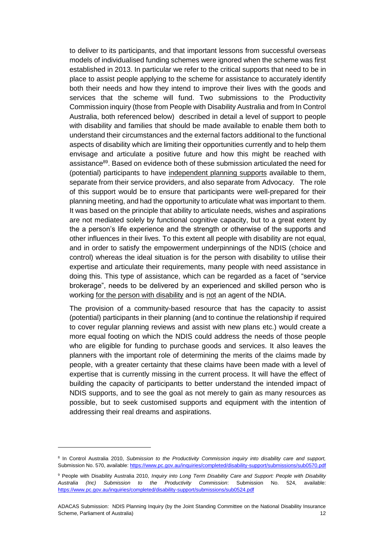to deliver to its participants, and that important lessons from successful overseas models of individualised funding schemes were ignored when the scheme was first established in 2013. In particular we refer to the critical supports that need to be in place to assist people applying to the scheme for assistance to accurately identify both their needs and how they intend to improve their lives with the goods and services that the scheme will fund. Two submissions to the Productivity Commission inquiry (those from People with Disability Australia and from In Control Australia, both referenced below) described in detail a level of support to people with disability and families that should be made available to enable them both to understand their circumstances and the external factors additional to the functional aspects of disability which are limiting their opportunities currently and to help them envisage and articulate a positive future and how this might be reached with assistance<sup>89</sup>. Based on evidence both of these submission articulated the need for (potential) participants to have independent planning supports available to them, separate from their service providers, and also separate from Advocacy. The role of this support would be to ensure that participants were well-prepared for their planning meeting, and had the opportunity to articulate what was important to them. It was based on the principle that ability to articulate needs, wishes and aspirations are not mediated solely by functional cognitive capacity, but to a great extent by the a person's life experience and the strength or otherwise of the supports and other influences in their lives. To this extent all people with disability are not equal, and in order to satisfy the empowerment underpinnings of the NDIS (choice and control) whereas the ideal situation is for the person with disability to utilise their expertise and articulate their requirements, many people with need assistance in doing this. This type of assistance, which can be regarded as a facet of "service brokerage", needs to be delivered by an experienced and skilled person who is working for the person with disability and is not an agent of the NDIA.

The provision of a community-based resource that has the capacity to assist (potential) participants in their planning (and to continue the relationship if required to cover regular planning reviews and assist with new plans etc.) would create a more equal footing on which the NDIS could address the needs of those people who are eligible for funding to purchase goods and services. It also leaves the planners with the important role of determining the merits of the claims made by people, with a greater certainty that these claims have been made with a level of expertise that is currently missing in the current process. It will have the effect of building the capacity of participants to better understand the intended impact of NDIS supports, and to see the goal as not merely to gain as many resources as possible, but to seek customised supports and equipment with the intention of addressing their real dreams and aspirations.

 $\overline{a}$ 

<sup>8</sup> In Control Australia 2010, *Submission to the Productivity Commission inquiry into disability care and support,* Submission No. 570, available[: https://www.pc.gov.au/inquiries/completed/disability-support/submissions/sub0570.pdf](https://www.pc.gov.au/inquiries/completed/disability-support/submissions/sub0570.pdf)

<sup>9</sup> People with Disability Australia 2010, *Inquiry into Long Term Disability Care and Support: People with Disability Australia (Inc) Submission to the Productivity Commission*: Submission No. 524, available: <https://www.pc.gov.au/inquiries/completed/disability-support/submissions/sub0524.pdf>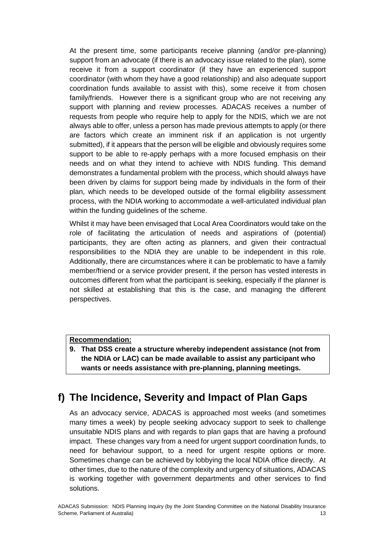At the present time, some participants receive planning (and/or pre-planning) support from an advocate (if there is an advocacy issue related to the plan), some receive it from a support coordinator (if they have an experienced support coordinator (with whom they have a good relationship) and also adequate support coordination funds available to assist with this), some receive it from chosen family/friends. However there is a significant group who are not receiving any support with planning and review processes. ADACAS receives a number of requests from people who require help to apply for the NDIS, which we are not always able to offer, unless a person has made previous attempts to apply (or there are factors which create an imminent risk if an application is not urgently submitted), if it appears that the person will be eligible and obviously requires some support to be able to re-apply perhaps with a more focused emphasis on their needs and on what they intend to achieve with NDIS funding. This demand demonstrates a fundamental problem with the process, which should always have been driven by claims for support being made by individuals in the form of their plan, which needs to be developed outside of the formal eligibility assessment process, with the NDIA working to accommodate a well-articulated individual plan within the funding guidelines of the scheme.

Whilst it may have been envisaged that Local Area Coordinators would take on the role of facilitating the articulation of needs and aspirations of (potential) participants, they are often acting as planners, and given their contractual responsibilities to the NDIA they are unable to be independent in this role. Additionally, there are circumstances where it can be problematic to have a family member/friend or a service provider present, if the person has vested interests in outcomes different from what the participant is seeking, especially if the planner is not skilled at establishing that this is the case, and managing the different perspectives.

#### **Recommendation:**

**9. That DSS create a structure whereby independent assistance (not from the NDIA or LAC) can be made available to assist any participant who wants or needs assistance with pre-planning, planning meetings.**

### <span id="page-12-0"></span>**f) The Incidence, Severity and Impact of Plan Gaps**

As an advocacy service, ADACAS is approached most weeks (and sometimes many times a week) by people seeking advocacy support to seek to challenge unsuitable NDIS plans and with regards to plan gaps that are having a profound impact. These changes vary from a need for urgent support coordination funds, to need for behaviour support, to a need for urgent respite options or more. Sometimes change can be achieved by lobbying the local NDIA office directly. At other times, due to the nature of the complexity and urgency of situations, ADACAS is working together with government departments and other services to find solutions.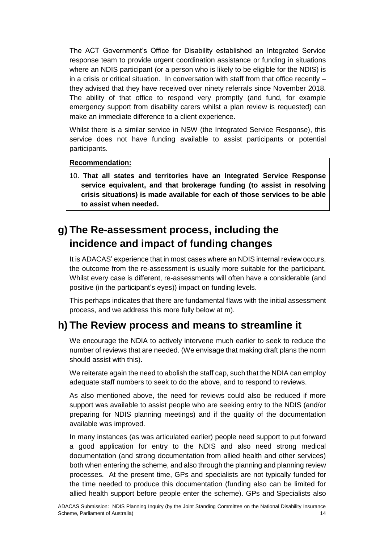The ACT Government's Office for Disability established an Integrated Service response team to provide urgent coordination assistance or funding in situations where an NDIS participant (or a person who is likely to be eligible for the NDIS) is in a crisis or critical situation. In conversation with staff from that office recently – they advised that they have received over ninety referrals since November 2018. The ability of that office to respond very promptly (and fund, for example emergency support from disability carers whilst a plan review is requested) can make an immediate difference to a client experience.

Whilst there is a similar service in NSW (the Integrated Service Response), this service does not have funding available to assist participants or potential participants.

#### **Recommendation:**

10. **That all states and territories have an Integrated Service Response service equivalent, and that brokerage funding (to assist in resolving crisis situations) is made available for each of those services to be able to assist when needed.** 

# <span id="page-13-0"></span>**g) The Re-assessment process, including the incidence and impact of funding changes**

It is ADACAS' experience that in most cases where an NDIS internal review occurs, the outcome from the re-assessment is usually more suitable for the participant. Whilst every case is different, re-assessments will often have a considerable (and positive (in the participant's eyes)) impact on funding levels.

This perhaps indicates that there are fundamental flaws with the initial assessment process, and we address this more fully below at m).

### <span id="page-13-1"></span>**h) The Review process and means to streamline it**

We encourage the NDIA to actively intervene much earlier to seek to reduce the number of reviews that are needed. (We envisage that making draft plans the norm should assist with this).

We reiterate again the need to abolish the staff cap, such that the NDIA can employ adequate staff numbers to seek to do the above, and to respond to reviews.

As also mentioned above, the need for reviews could also be reduced if more support was available to assist people who are seeking entry to the NDIS (and/or preparing for NDIS planning meetings) and if the quality of the documentation available was improved.

In many instances (as was articulated earlier) people need support to put forward a good application for entry to the NDIS and also need strong medical documentation (and strong documentation from allied health and other services) both when entering the scheme, and also through the planning and planning review processes. At the present time, GPs and specialists are not typically funded for the time needed to produce this documentation (funding also can be limited for allied health support before people enter the scheme). GPs and Specialists also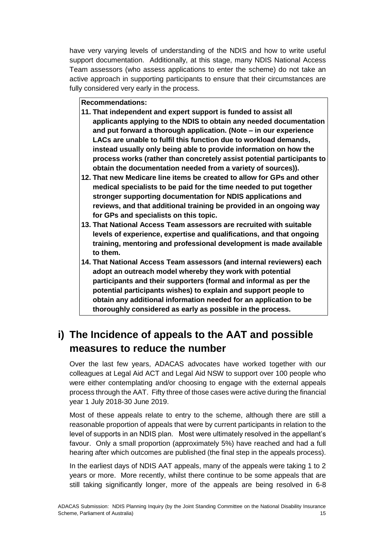have very varying levels of understanding of the NDIS and how to write useful support documentation. Additionally, at this stage, many NDIS National Access Team assessors (who assess applications to enter the scheme) do not take an active approach in supporting participants to ensure that their circumstances are fully considered very early in the process.

#### **Recommendations:**

- **11. That independent and expert support is funded to assist all applicants applying to the NDIS to obtain any needed documentation and put forward a thorough application. (Note – in our experience LACs are unable to fulfil this function due to workload demands, instead usually only being able to provide information on how the process works (rather than concretely assist potential participants to obtain the documentation needed from a variety of sources)).**
- **12. That new Medicare line items be created to allow for GPs and other medical specialists to be paid for the time needed to put together stronger supporting documentation for NDIS applications and reviews, and that additional training be provided in an ongoing way for GPs and specialists on this topic.**
- **13. That National Access Team assessors are recruited with suitable levels of experience, expertise and qualifications, and that ongoing training, mentoring and professional development is made available to them.**
- **14. That National Access Team assessors (and internal reviewers) each adopt an outreach model whereby they work with potential participants and their supporters (formal and informal as per the potential participants wishes) to explain and support people to obtain any additional information needed for an application to be thoroughly considered as early as possible in the process.**

# <span id="page-14-0"></span>**i) The Incidence of appeals to the AAT and possible measures to reduce the number**

Over the last few years, ADACAS advocates have worked together with our colleagues at Legal Aid ACT and Legal Aid NSW to support over 100 people who were either contemplating and/or choosing to engage with the external appeals process through the AAT. Fifty three of those cases were active during the financial year 1 July 2018-30 June 2019.

Most of these appeals relate to entry to the scheme, although there are still a reasonable proportion of appeals that were by current participants in relation to the level of supports in an NDIS plan. Most were ultimately resolved in the appellant's favour. Only a small proportion (approximately 5%) have reached and had a full hearing after which outcomes are published (the final step in the appeals process).

In the earliest days of NDIS AAT appeals, many of the appeals were taking 1 to 2 years or more. More recently, whilst there continue to be some appeals that are still taking significantly longer, more of the appeals are being resolved in 6-8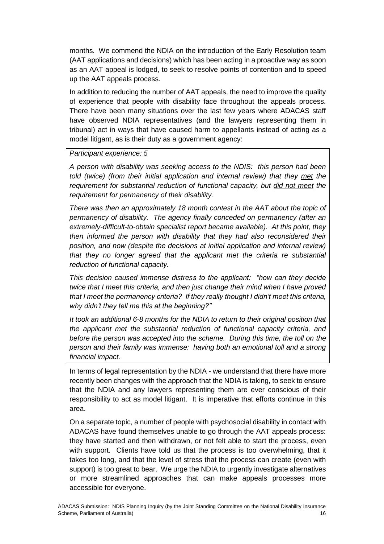months. We commend the NDIA on the introduction of the Early Resolution team (AAT applications and decisions) which has been acting in a proactive way as soon as an AAT appeal is lodged, to seek to resolve points of contention and to speed up the AAT appeals process.

In addition to reducing the number of AAT appeals, the need to improve the quality of experience that people with disability face throughout the appeals process. There have been many situations over the last few years where ADACAS staff have observed NDIA representatives (and the lawyers representing them in tribunal) act in ways that have caused harm to appellants instead of acting as a model litigant, as is their duty as a government agency:

#### *Participant experience: 5*

*A person with disability was seeking access to the NDIS: this person had been told (twice) (from their initial application and internal review) that they met the requirement for substantial reduction of functional capacity, but did not meet the requirement for permanency of their disability.* 

*There was then an approximately 18 month contest in the AAT about the topic of permanency of disability. The agency finally conceded on permanency (after an extremely-difficult-to-obtain specialist report became available). At this point, they then informed the person with disability that they had also reconsidered their position, and now (despite the decisions at initial application and internal review) that they no longer agreed that the applicant met the criteria re substantial reduction of functional capacity.* 

*This decision caused immense distress to the applicant: "how can they decide twice that I meet this criteria, and then just change their mind when I have proved that I meet the permanency criteria? If they really thought I didn't meet this criteria, why didn't they tell me this at the beginning?"*

*It took an additional 6-8 months for the NDIA to return to their original position that the applicant met the substantial reduction of functional capacity criteria, and before the person was accepted into the scheme. During this time, the toll on the person and their family was immense: having both an emotional toll and a strong financial impact.* 

In terms of legal representation by the NDIA - we understand that there have more recently been changes with the approach that the NDIA is taking, to seek to ensure that the NDIA and any lawyers representing them are ever conscious of their responsibility to act as model litigant. It is imperative that efforts continue in this area.

On a separate topic, a number of people with psychosocial disability in contact with ADACAS have found themselves unable to go through the AAT appeals process: they have started and then withdrawn, or not felt able to start the process, even with support. Clients have told us that the process is too overwhelming, that it takes too long, and that the level of stress that the process can create (even with support) is too great to bear. We urge the NDIA to urgently investigate alternatives or more streamlined approaches that can make appeals processes more accessible for everyone.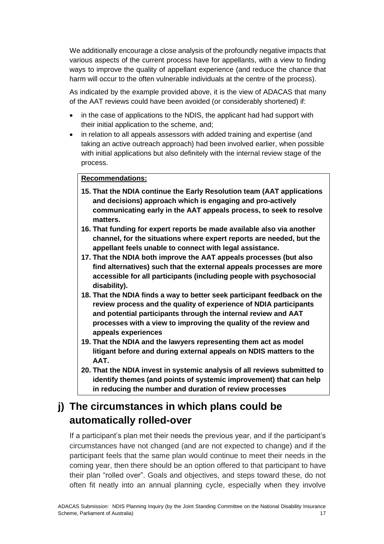We additionally encourage a close analysis of the profoundly negative impacts that various aspects of the current process have for appellants, with a view to finding ways to improve the quality of appellant experience (and reduce the chance that harm will occur to the often vulnerable individuals at the centre of the process).

As indicated by the example provided above, it is the view of ADACAS that many of the AAT reviews could have been avoided (or considerably shortened) if:

- in the case of applications to the NDIS, the applicant had had support with their initial application to the scheme, and;
- in relation to all appeals assessors with added training and expertise (and taking an active outreach approach) had been involved earlier, when possible with initial applications but also definitely with the internal review stage of the process.

#### **Recommendations:**

- **15. That the NDIA continue the Early Resolution team (AAT applications and decisions) approach which is engaging and pro-actively communicating early in the AAT appeals process, to seek to resolve matters.**
- **16. That funding for expert reports be made available also via another channel, for the situations where expert reports are needed, but the appellant feels unable to connect with legal assistance.**
- **17. That the NDIA both improve the AAT appeals processes (but also find alternatives) such that the external appeals processes are more accessible for all participants (including people with psychosocial disability).**
- **18. That the NDIA finds a way to better seek participant feedback on the review process and the quality of experience of NDIA participants and potential participants through the internal review and AAT processes with a view to improving the quality of the review and appeals experiences**
- **19. That the NDIA and the lawyers representing them act as model litigant before and during external appeals on NDIS matters to the AAT.**
- **20. That the NDIA invest in systemic analysis of all reviews submitted to identify themes (and points of systemic improvement) that can help in reducing the number and duration of review processes**

# <span id="page-16-0"></span>**j) The circumstances in which plans could be automatically rolled-over**

If a participant's plan met their needs the previous year, and if the participant's circumstances have not changed (and are not expected to change) and if the participant feels that the same plan would continue to meet their needs in the coming year, then there should be an option offered to that participant to have their plan "rolled over". Goals and objectives, and steps toward these, do not often fit neatly into an annual planning cycle, especially when they involve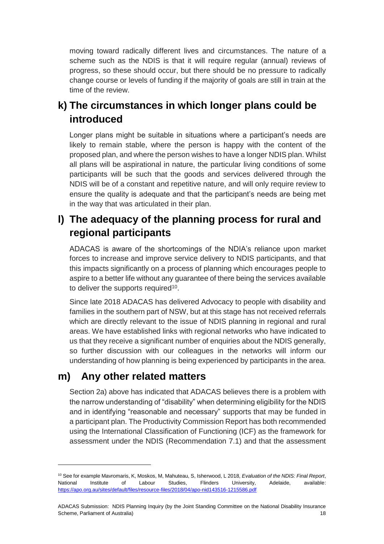moving toward radically different lives and circumstances. The nature of a scheme such as the NDIS is that it will require regular (annual) reviews of progress, so these should occur, but there should be no pressure to radically change course or levels of funding if the majority of goals are still in train at the time of the review.

# <span id="page-17-0"></span>**k) The circumstances in which longer plans could be introduced**

Longer plans might be suitable in situations where a participant's needs are likely to remain stable, where the person is happy with the content of the proposed plan, and where the person wishes to have a longer NDIS plan. Whilst all plans will be aspirational in nature, the particular living conditions of some participants will be such that the goods and services delivered through the NDIS will be of a constant and repetitive nature, and will only require review to ensure the quality is adequate and that the participant's needs are being met in the way that was articulated in their plan.

### <span id="page-17-1"></span>**l) The adequacy of the planning process for rural and regional participants**

ADACAS is aware of the shortcomings of the NDIA's reliance upon market forces to increase and improve service delivery to NDIS participants, and that this impacts significantly on a process of planning which encourages people to aspire to a better life without any guarantee of there being the services available to deliver the supports required<sup>10</sup>.

Since late 2018 ADACAS has delivered Advocacy to people with disability and families in the southern part of NSW, but at this stage has not received referrals which are directly relevant to the issue of NDIS planning in regional and rural areas. We have established links with regional networks who have indicated to us that they receive a significant number of enquiries about the NDIS generally, so further discussion with our colleagues in the networks will inform our understanding of how planning is being experienced by participants in the area.

# <span id="page-17-2"></span>**m) Any other related matters**

 $\overline{a}$ 

Section 2a) above has indicated that ADACAS believes there is a problem with the narrow understanding of "disability" when determining eligibility for the NDIS and in identifying "reasonable and necessary" supports that may be funded in a participant plan. The Productivity Commission Report has both recommended using the International Classification of Functioning (ICF) as the framework for assessment under the NDIS (Recommendation 7.1) and that the assessment

<sup>10</sup> See for example Mavromaris, K, Moskos, M, Mahuteau, S, Isherwood, L 2018, *Evaluation of the NDIS: Final Report*, National Institute of Labour Studies, Flinders University, Adelaide, available: <https://apo.org.au/sites/default/files/resource-files/2018/04/apo-nid143516-1215586.pdf>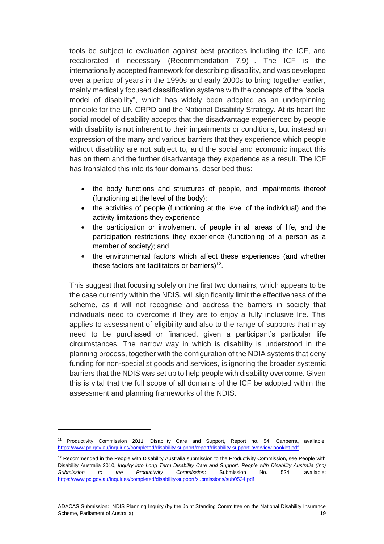tools be subject to evaluation against best practices including the ICF, and recalibrated if necessary (Recommendation  $7.9$ )<sup>11</sup>. The ICF is the internationally accepted framework for describing disability, and was developed over a period of years in the 1990s and early 2000s to bring together earlier, mainly medically focused classification systems with the concepts of the "social model of disability", which has widely been adopted as an underpinning principle for the UN CRPD and the National Disability Strategy. At its heart the social model of disability accepts that the disadvantage experienced by people with disability is not inherent to their impairments or conditions, but instead an expression of the many and various barriers that they experience which people without disability are not subject to, and the social and economic impact this has on them and the further disadvantage they experience as a result. The ICF has translated this into its four domains, described thus:

- the body functions and structures of people, and impairments thereof (functioning at the level of the body);
- the activities of people (functioning at the level of the individual) and the activity limitations they experience;
- the participation or involvement of people in all areas of life, and the participation restrictions they experience (functioning of a person as a member of society); and
- the environmental factors which affect these experiences (and whether these factors are facilitators or barriers) $12$ .

This suggest that focusing solely on the first two domains, which appears to be the case currently within the NDIS, will significantly limit the effectiveness of the scheme, as it will not recognise and address the barriers in society that individuals need to overcome if they are to enjoy a fully inclusive life. This applies to assessment of eligibility and also to the range of supports that may need to be purchased or financed, given a participant's particular life circumstances. The narrow way in which is disability is understood in the planning process, together with the configuration of the NDIA systems that deny funding for non-specialist goods and services, is ignoring the broader systemic barriers that the NDIS was set up to help people with disability overcome. Given this is vital that the full scope of all domains of the ICF be adopted within the assessment and planning frameworks of the NDIS.

 $\overline{a}$ 

<sup>11</sup> Productivity Commission 2011, Disability Care and Support, Report no. 54, Canberra, available: <https://www.pc.gov.au/inquiries/completed/disability-support/report/disability-support-overview-booklet.pdf>

<sup>&</sup>lt;sup>12</sup> Recommended in the People with Disability Australia submission to the Productivity Commission, see People with Disability Australia 2010, *Inquiry into Long Term Disability Care and Support: People with Disability Australia (Inc) Submission to the Productivity Commission*: Submission No. 524, available: <https://www.pc.gov.au/inquiries/completed/disability-support/submissions/sub0524.pdf>